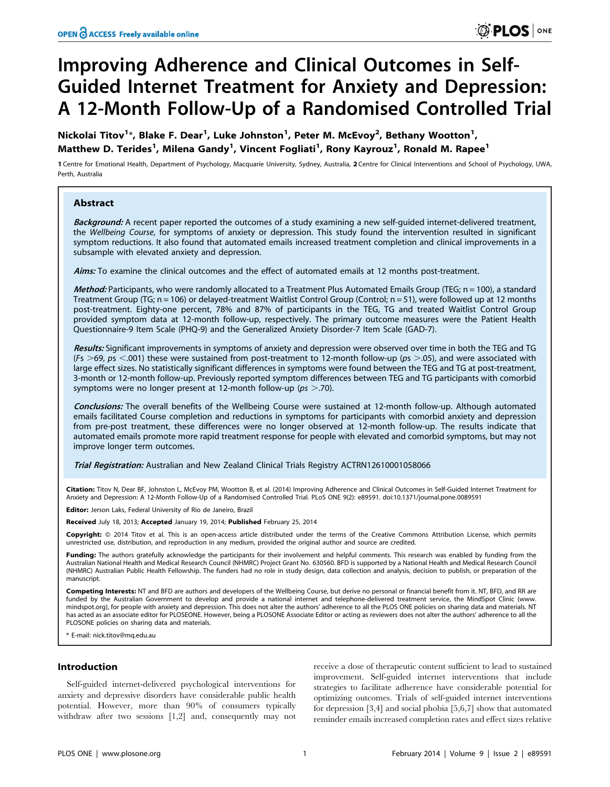# Improving Adherence and Clinical Outcomes in Self-Guided Internet Treatment for Anxiety and Depression: A 12-Month Follow-Up of a Randomised Controlled Trial

Nickolai Titov $^{1*}$ , Blake F. Dear $^{1}$ , Luke Johnston $^{1}$ , Peter M. McEvoy $^{2}$ , Bethany Wootton $^{1}$ , Matthew D. Terides<sup>1</sup>, Milena Gandy<sup>1</sup>, Vincent Fogliati<sup>1</sup>, Rony Kayrouz<sup>1</sup>, Ronald M. Rapee<sup>1</sup>

1 Centre for Emotional Health, Department of Psychology, Macquarie University, Sydney, Australia, 2 Centre for Clinical Interventions and School of Psychology, UWA, Perth, Australia

# Abstract

Background: A recent paper reported the outcomes of a study examining a new self-guided internet-delivered treatment, the Wellbeing Course, for symptoms of anxiety or depression. This study found the intervention resulted in significant symptom reductions. It also found that automated emails increased treatment completion and clinical improvements in a subsample with elevated anxiety and depression.

Aims: To examine the clinical outcomes and the effect of automated emails at 12 months post-treatment.

Method: Participants, who were randomly allocated to a Treatment Plus Automated Emails Group (TEG;  $n = 100$ ), a standard Treatment Group (TG;  $n = 106$ ) or delayed-treatment Waitlist Control Group (Control;  $n = 51$ ), were followed up at 12 months post-treatment. Eighty-one percent, 78% and 87% of participants in the TEG, TG and treated Waitlist Control Group provided symptom data at 12-month follow-up, respectively. The primary outcome measures were the Patient Health Questionnaire-9 Item Scale (PHQ-9) and the Generalized Anxiety Disorder-7 Item Scale (GAD-7).

Results: Significant improvements in symptoms of anxiety and depression were observed over time in both the TEG and TG (Fs  $>$  69, ps <.001) these were sustained from post-treatment to 12-month follow-up (ps  $>$  .05), and were associated with large effect sizes. No statistically significant differences in symptoms were found between the TEG and TG at post-treatment, 3-month or 12-month follow-up. Previously reported symptom differences between TEG and TG participants with comorbid symptoms were no longer present at 12-month follow-up ( $ps > .70$ ).

Conclusions: The overall benefits of the Wellbeing Course were sustained at 12-month follow-up. Although automated emails facilitated Course completion and reductions in symptoms for participants with comorbid anxiety and depression from pre-post treatment, these differences were no longer observed at 12-month follow-up. The results indicate that automated emails promote more rapid treatment response for people with elevated and comorbid symptoms, but may not improve longer term outcomes.

Trial Registration: Australian and New Zealand Clinical Trials Registry [ACTRN12610001058066](https://www.anzctr.org.au/Trial/Registration/TrialReview.aspx?id=336276)

Citation: Titov N, Dear BF, Johnston L, McEvoy PM, Wootton B, et al. (2014) Improving Adherence and Clinical Outcomes in Self-Guided Internet Treatment for Anxiety and Depression: A 12-Month Follow-Up of a Randomised Controlled Trial. PLoS ONE 9(2): e89591. doi:10.1371/journal.pone.0089591

Editor: Jerson Laks, Federal University of Rio de Janeiro, Brazil

Received July 18, 2013; Accepted January 19, 2014; Published February 25, 2014

Copyright: © 2014 Titov et al. This is an open-access article distributed under the terms of the [Creative Commons Attribution License,](http://creativecommons.org/licenses/by/4.0/) which permits unrestricted use, distribution, and reproduction in any medium, provided the original author and source are credited.

Funding: The authors gratefully acknowledge the participants for their involvement and helpful comments. This research was enabled by funding from the Australian National Health and Medical Research Council (NHMRC) Project Grant No. 630560. BFD is supported by a National Health and Medical Research Council (NHMRC) Australian Public Health Fellowship. The funders had no role in study design, data collection and analysis, decision to publish, or preparation of the manuscript.

Competing Interests: NT and BFD are authors and developers of the Wellbeing Course, but derive no personal or financial benefit from it. NT, BFD, and RR are funded by the Australian Government to develop and provide a national internet and telephone-delivered treatment service, the MindSpot Clinic (www. mindspot.org), for people with anxiety and depression. This does not alter the authors' adherence to all the PLOS ONE policies on sharing data and materials. NT has acted as an associate editor for PLOSEONE. However, being a PLOSONE Associate Editor or acting as reviewers does not alter the authors' adherence to all the PLOSONE policies on sharing data and materials.

\* E-mail: nick.titov@mq.edu.au

# Introduction

Self-guided internet-delivered psychological interventions for anxiety and depressive disorders have considerable public health potential. However, more than 90% of consumers typically withdraw after two sessions [1,2] and, consequently may not receive a dose of therapeutic content sufficient to lead to sustained improvement. Self-guided internet interventions that include strategies to facilitate adherence have considerable potential for optimizing outcomes. Trials of self-guided internet interventions for depression [3,4] and social phobia [5,6,7] show that automated reminder emails increased completion rates and effect sizes relative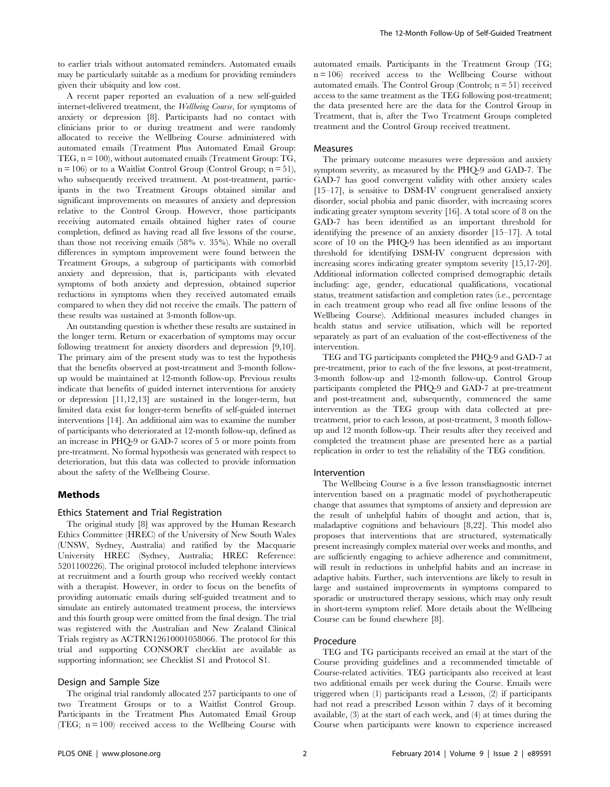to earlier trials without automated reminders. Automated emails may be particularly suitable as a medium for providing reminders given their ubiquity and low cost.

A recent paper reported an evaluation of a new self-guided internet-delivered treatment, the Wellbeing Course, for symptoms of anxiety or depression [8]. Participants had no contact with clinicians prior to or during treatment and were randomly allocated to receive the Wellbeing Course administered with automated emails (Treatment Plus Automated Email Group: TEG, n = 100), without automated emails (Treatment Group: TG,  $n = 106$ ) or to a Waitlist Control Group (Control Group;  $n = 51$ ), who subsequently received treatment. At post-treatment, participants in the two Treatment Groups obtained similar and significant improvements on measures of anxiety and depression relative to the Control Group. However, those participants receiving automated emails obtained higher rates of course completion, defined as having read all five lessons of the course, than those not receiving emails (58% v. 35%). While no overall differences in symptom improvement were found between the Treatment Groups, a subgroup of participants with comorbid anxiety and depression, that is, participants with elevated symptoms of both anxiety and depression, obtained superior reductions in symptoms when they received automated emails compared to when they did not receive the emails. The pattern of these results was sustained at 3-month follow-up.

An outstanding question is whether these results are sustained in the longer term. Return or exacerbation of symptoms may occur following treatment for anxiety disorders and depression [9,10]. The primary aim of the present study was to test the hypothesis that the benefits observed at post-treatment and 3-month followup would be maintained at 12-month follow-up. Previous results indicate that benefits of guided internet interventions for anxiety or depression [11,12,13] are sustained in the longer-term, but limited data exist for longer-term benefits of self-guided internet interventions [14]. An additional aim was to examine the number of participants who deteriorated at 12-month follow-up, defined as an increase in PHQ-9 or GAD-7 scores of 5 or more points from pre-treatment. No formal hypothesis was generated with respect to deterioration, but this data was collected to provide information about the safety of the Wellbeing Course.

#### Methods

#### Ethics Statement and Trial Registration

The original study [8] was approved by the Human Research Ethics Committee (HREC) of the University of New South Wales (UNSW, Sydney, Australia) and ratified by the Macquarie University HREC (Sydney, Australia; HREC Reference: 5201100226). The original protocol included telephone interviews at recruitment and a fourth group who received weekly contact with a therapist. However, in order to focus on the benefits of providing automatic emails during self-guided treatment and to simulate an entirely automated treatment process, the interviews and this fourth group were omitted from the final design. The trial was registered with the Australian and New Zealand Clinical Trials registry as ACTRN12610001058066. The protocol for this trial and supporting CONSORT checklist are available as supporting information; see Checklist S1 and Protocol S1.

# Design and Sample Size

The original trial randomly allocated 257 participants to one of two Treatment Groups or to a Waitlist Control Group. Participants in the Treatment Plus Automated Email Group (TEG;  $n = 100$ ) received access to the Wellbeing Course with

automated emails. Participants in the Treatment Group (TG;  $n = 106$ ) received access to the Wellbeing Course without automated emails. The Control Group (Controls;  $n = 51$ ) received access to the same treatment as the TEG following post-treatment; the data presented here are the data for the Control Group in Treatment, that is, after the Two Treatment Groups completed treatment and the Control Group received treatment.

#### Measures

The primary outcome measures were depression and anxiety symptom severity, as measured by the PHQ-9 and GAD-7. The GAD-7 has good convergent validity with other anxiety scales [15–17], is sensitive to DSM-IV congruent generalised anxiety disorder, social phobia and panic disorder, with increasing scores indicating greater symptom severity [16]. A total score of 8 on the GAD-7 has been identified as an important threshold for identifying the presence of an anxiety disorder [15–17]. A total score of 10 on the PHQ-9 has been identified as an important threshold for identifying DSM-IV congruent depression with increasing scores indicating greater symptom severity [15,17-20]. Additional information collected comprised demographic details including: age, gender, educational qualifications, vocational status, treatment satisfaction and completion rates (i.e., percentage in each treatment group who read all five online lessons of the Wellbeing Course). Additional measures included changes in health status and service utilisation, which will be reported separately as part of an evaluation of the cost-effectiveness of the intervention.

TEG and TG participants completed the PHQ-9 and GAD-7 at pre-treatment, prior to each of the five lessons, at post-treatment, 3-month follow-up and 12-month follow-up. Control Group participants completed the PHQ-9 and GAD-7 at pre-treatment and post-treatment and, subsequently, commenced the same intervention as the TEG group with data collected at pretreatment, prior to each lesson, at post-treatment, 3 month followup and 12 month follow-up. Their results after they received and completed the treatment phase are presented here as a partial replication in order to test the reliability of the TEG condition.

# Intervention

The Wellbeing Course is a five lesson transdiagnostic internet intervention based on a pragmatic model of psychotherapeutic change that assumes that symptoms of anxiety and depression are the result of unhelpful habits of thought and action, that is, maladaptive cognitions and behaviours [8,22]. This model also proposes that interventions that are structured, systematically present increasingly complex material over weeks and months, and are sufficiently engaging to achieve adherence and commitment, will result in reductions in unhelpful habits and an increase in adaptive habits. Further, such interventions are likely to result in large and sustained improvements in symptoms compared to sporadic or unstructured therapy sessions, which may only result in short-term symptom relief. More details about the Wellbeing Course can be found elsewhere [8].

#### Procedure

TEG and TG participants received an email at the start of the Course providing guidelines and a recommended timetable of Course-related activities. TEG participants also received at least two additional emails per week during the Course. Emails were triggered when (1) participants read a Lesson, (2) if participants had not read a prescribed Lesson within 7 days of it becoming available, (3) at the start of each week, and (4) at times during the Course when participants were known to experience increased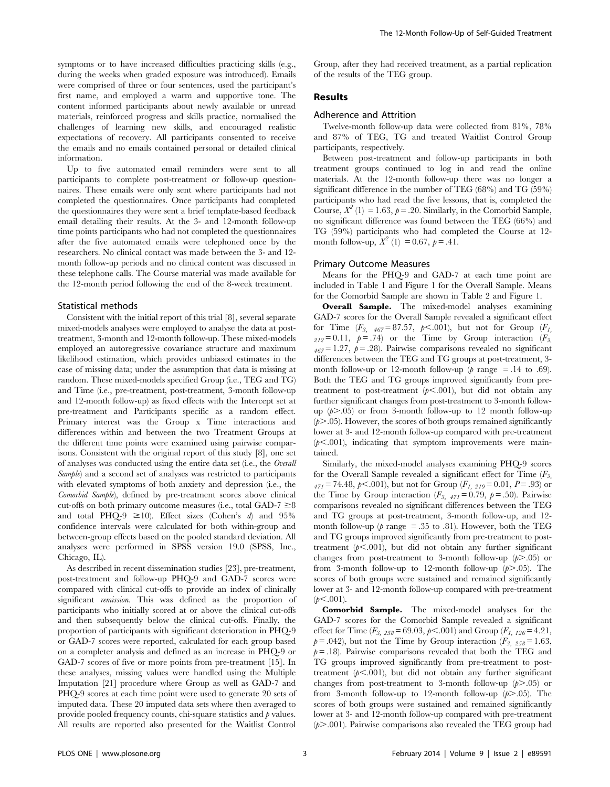symptoms or to have increased difficulties practicing skills (e.g., during the weeks when graded exposure was introduced). Emails were comprised of three or four sentences, used the participant's first name, and employed a warm and supportive tone. The content informed participants about newly available or unread materials, reinforced progress and skills practice, normalised the challenges of learning new skills, and encouraged realistic expectations of recovery. All participants consented to receive the emails and no emails contained personal or detailed clinical information.

Up to five automated email reminders were sent to all participants to complete post-treatment or follow-up questionnaires. These emails were only sent where participants had not completed the questionnaires. Once participants had completed the questionnaires they were sent a brief template-based feedback email detailing their results. At the 3- and 12-month follow-up time points participants who had not completed the questionnaires after the five automated emails were telephoned once by the researchers. No clinical contact was made between the 3- and 12 month follow-up periods and no clinical content was discussed in these telephone calls. The Course material was made available for the 12-month period following the end of the 8-week treatment.

#### Statistical methods

Consistent with the initial report of this trial [8], several separate mixed-models analyses were employed to analyse the data at posttreatment, 3-month and 12-month follow-up. These mixed-models employed an autoregressive covariance structure and maximum likelihood estimation, which provides unbiased estimates in the case of missing data; under the assumption that data is missing at random. These mixed-models specified Group (i.e., TEG and TG) and Time (i.e., pre-treatment, post-treatment, 3-month follow-up and 12-month follow-up) as fixed effects with the Intercept set at pre-treatment and Participants specific as a random effect. Primary interest was the Group x Time interactions and differences within and between the two Treatment Groups at the different time points were examined using pairwise comparisons. Consistent with the original report of this study [8], one set of analyses was conducted using the entire data set (i.e., the Overall Sample) and a second set of analyses was restricted to participants with elevated symptoms of both anxiety and depression (i.e., the Comorbid Sample), defined by pre-treatment scores above clinical cut-offs on both primary outcome measures (i.e., total GAD-7  $\geq$ 8 and total PHQ-9  $\geq$ 10). Effect sizes (Cohen's d) and 95% confidence intervals were calculated for both within-group and between-group effects based on the pooled standard deviation. All analyses were performed in SPSS version 19.0 (SPSS, Inc., Chicago, IL).

As described in recent dissemination studies [23], pre-treatment, post-treatment and follow-up PHQ-9 and GAD-7 scores were compared with clinical cut-offs to provide an index of clinically significant *remission*. This was defined as the proportion of participants who initially scored at or above the clinical cut-offs and then subsequently below the clinical cut-offs. Finally, the proportion of participants with significant deterioration in PHQ-9 or GAD-7 scores were reported, calculated for each group based on a completer analysis and defined as an increase in PHQ-9 or GAD-7 scores of five or more points from pre-treatment [15]. In these analyses, missing values were handled using the Multiple Imputation [21] procedure where Group as well as GAD-7 and PHQ-9 scores at each time point were used to generate 20 sets of imputed data. These 20 imputed data sets where then averaged to provide pooled frequency counts, chi-square statistics and  $\beta$  values. All results are reported also presented for the Waitlist Control

Group, after they had received treatment, as a partial replication of the results of the TEG group.

# Results

# Adherence and Attrition

Twelve-month follow-up data were collected from 81%, 78% and 87% of TEG, TG and treated Waitlist Control Group participants, respectively.

Between post-treatment and follow-up participants in both treatment groups continued to log in and read the online materials. At the 12-month follow-up there was no longer a significant difference in the number of TEG (68%) and TG (59%) participants who had read the five lessons, that is, completed the Course,  $X^2$  (1) = 1.63,  $p = .20$ . Similarly, in the Comorbid Sample, no significant difference was found between the TEG (66%) and TG (59%) participants who had completed the Course at 12 month follow-up,  $X^2$  (1) = 0.67,  $p = .41$ .

#### Primary Outcome Measures

Means for the PHQ-9 and GAD-7 at each time point are included in Table 1 and Figure 1 for the Overall Sample. Means for the Comorbid Sample are shown in Table 2 and Figure 1.

Overall Sample. The mixed-model analyses examining GAD-7 scores for the Overall Sample revealed a significant effect for Time  $(F_3, 467=87.57, p\leq.001)$ , but not for Group  $(F_1, F_2)$  $_{212}= 0.11, p = .74$ ) or the Time by Group interaction ( $F_3$ )  $467 = 1.27$ ,  $p = .28$ ). Pairwise comparisons revealed no significant differences between the TEG and TG groups at post-treatment, 3 month follow-up or 12-month follow-up ( $\beta$  range = .14 to .69). Both the TEG and TG groups improved significantly from pretreatment to post-treatment  $(p<.001)$ , but did not obtain any further significant changes from post-treatment to 3-month followup  $(p>0.05)$  or from 3-month follow-up to 12 month follow-up  $(p>0.05)$ . However, the scores of both groups remained significantly lower at 3- and 12-month follow-up compared with pre-treatment  $(p<.001)$ , indicating that symptom improvements were maintained.

Similarly, the mixed-model analyses examining PHQ-9 scores for the Overall Sample revealed a significant effect for Time  $(F_3)$  $_{471}$  = 74.48,  $p<.001$ ), but not for Group ( $F_{1, 219}$  = 0.01, P = .93) or the Time by Group interaction  $(F_{3, 471} = 0.79, p = .50)$ . Pairwise comparisons revealed no significant differences between the TEG and TG groups at post-treatment, 3-month follow-up, and 12 month follow-up ( $\phi$  range = .35 to .81). However, both the TEG and TG groups improved significantly from pre-treatment to posttreatment  $(p<.001)$ , but did not obtain any further significant changes from post-treatment to 3-month follow-up  $(p>0.05)$  or from 3-month follow-up to 12-month follow-up  $(p>0.05)$ . The scores of both groups were sustained and remained significantly lower at 3- and 12-month follow-up compared with pre-treatment  $(p<.001)$ .

Comorbid Sample. The mixed-model analyses for the GAD-7 scores for the Comorbid Sample revealed a significant effect for Time  $(F_{3, 258} = 69.03, \, \rho \leq 0.01)$  and Group  $(F_{1, 126} = 4.21, \, \rho \leq 0.01)$  $p=$  042), but not the Time by Group interaction  $(F_{3, 258}=1.63,$  $p = .18$ ). Pairwise comparisons revealed that both the TEG and TG groups improved significantly from pre-treatment to posttreatment  $(p<.001)$ , but did not obtain any further significant changes from post-treatment to 3-month follow-up  $(p>0.05)$  or from 3-month follow-up to 12-month follow-up  $(p>0.05)$ . The scores of both groups were sustained and remained significantly lower at 3- and 12-month follow-up compared with pre-treatment  $(p>0.01)$ . Pairwise comparisons also revealed the TEG group had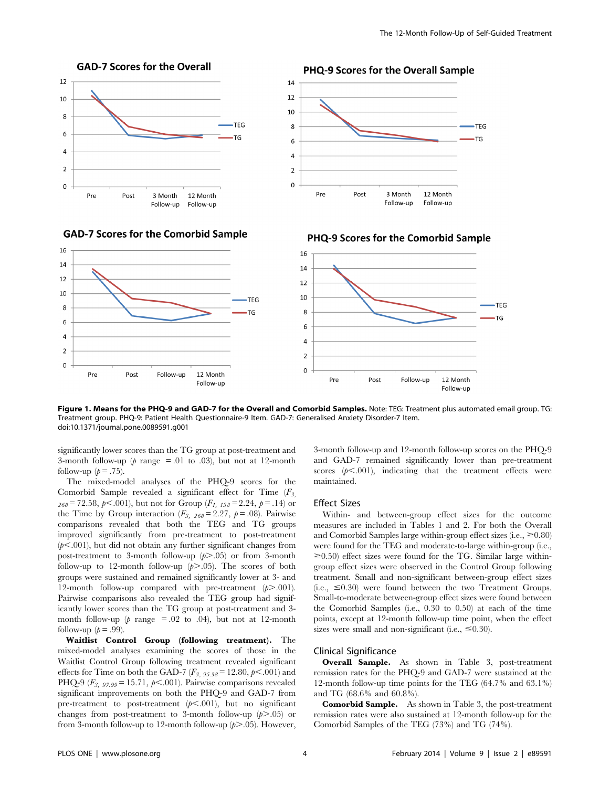

**GAD-7 Scores for the Comorbid Sample** 



# PHQ-9 Scores for the Overall Sample



PHQ-9 Scores for the Comorbid Sample



Figure 1. Means for the PHQ-9 and GAD-7 for the Overall and Comorbid Samples. Note: TEG: Treatment plus automated email group. TG: Treatment group. PHQ-9: Patient Health Questionnaire-9 Item. GAD-7: Generalised Anxiety Disorder-7 Item. doi:10.1371/journal.pone.0089591.g001

significantly lower scores than the TG group at post-treatment and 3-month follow-up ( $\phi$  range = .01 to .03), but not at 12-month follow-up  $(p=.75)$ .

The mixed-model analyses of the PHQ-9 scores for the Comorbid Sample revealed a significant effect for Time  $(F_3)$  $_{268}$  = 72.58,  $p<.001$ ), but not for Group ( $F_{1, 138}$  = 2.24,  $p = .14$ ) or the Time by Group interaction  $(F_{3, 268} = 2.27, p = .08)$ . Pairwise comparisons revealed that both the TEG and TG groups improved significantly from pre-treatment to post-treatment  $(p<.001)$ , but did not obtain any further significant changes from post-treatment to 3-month follow-up  $(p>0.05)$  or from 3-month follow-up to 12-month follow-up  $(p>0.05)$ . The scores of both groups were sustained and remained significantly lower at 3- and 12-month follow-up compared with pre-treatment  $(p>0.001)$ . Pairwise comparisons also revealed the TEG group had significantly lower scores than the TG group at post-treatment and 3 month follow-up ( $\phi$  range = .02 to .04), but not at 12-month follow-up  $(p=.99)$ .

Waitlist Control Group (following treatment). The mixed-model analyses examining the scores of those in the Waitlist Control Group following treatment revealed significant effects for Time on both the GAD-7 ( $F_{3, 95.38} = 12.80, p < .001$ ) and PHQ-9 ( $F_{3, 97.99}$  = 15.71,  $p$ <.001). Pairwise comparisons revealed significant improvements on both the PHQ-9 and GAD-7 from pre-treatment to post-treatment  $(p<.001)$ , but no significant changes from post-treatment to 3-month follow-up  $(p>0.05)$  or from 3-month follow-up to 12-month follow-up  $(p>0.05)$ . However,

3-month follow-up and 12-month follow-up scores on the PHQ-9 and GAD-7 remained significantly lower than pre-treatment scores  $(p<.001)$ , indicating that the treatment effects were maintained.

## Effect Sizes

Within- and between-group effect sizes for the outcome measures are included in Tables 1 and 2. For both the Overall and Comorbid Samples large within-group effect sizes (i.e.,  $\geq 0.80$ ) were found for the TEG and moderate-to-large within-group (i.e.,  $\geq$ 0.50) effect sizes were found for the TG. Similar large withingroup effect sizes were observed in the Control Group following treatment. Small and non-significant between-group effect sizes (i.e.,  $\leq 0.30$ ) were found between the two Treatment Groups. Small-to-moderate between-group effect sizes were found between the Comorbid Samples (i.e., 0.30 to 0.50) at each of the time points, except at 12-month follow-up time point, when the effect sizes were small and non-significant (i.e.,  $\leq 0.30$ ).

#### Clinical Significance

**Overall Sample.** As shown in Table 3, post-treatment remission rates for the PHQ-9 and GAD-7 were sustained at the 12-month follow-up time points for the TEG (64.7% and 63.1%) and TG (68.6% and 60.8%).

Comorbid Sample. As shown in Table 3, the post-treatment remission rates were also sustained at 12-month follow-up for the Comorbid Samples of the TEG (73%) and TG (74%).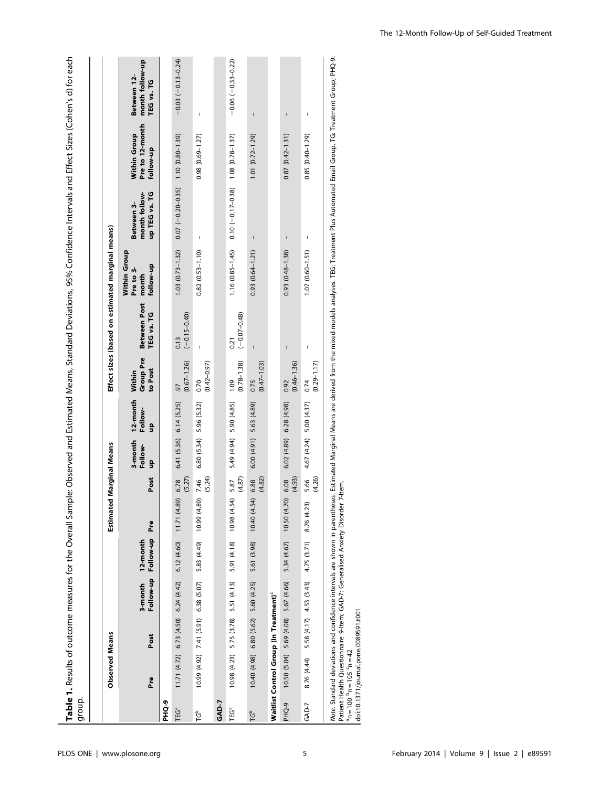Table 1. Results of outcome measures for the Overall Sample: Observed and Estimated Means, Standard Deviations, 95% Confidence Intervals and Effect Sizes (Cohen's d) for each Table 1. Results of outcome measures for the Overall Sample: Observed and Estimated Means, Standard Deviations, 95% Confidence Intervals and Effect Sizes (Cohen's d) for each group.

|                         | <b>Observed Means</b>                                                                                                                                           |                                              |                                                         |                       | Estimated Marginal Means |                |                         |                                 |                                | Effect sizes (based on estimated marginal means) |                                                        |                                              |                                              |                                                                                                                                                                                                                     |
|-------------------------|-----------------------------------------------------------------------------------------------------------------------------------------------------------------|----------------------------------------------|---------------------------------------------------------|-----------------------|--------------------------|----------------|-------------------------|---------------------------------|--------------------------------|--------------------------------------------------|--------------------------------------------------------|----------------------------------------------|----------------------------------------------|---------------------------------------------------------------------------------------------------------------------------------------------------------------------------------------------------------------------|
|                         | Pre                                                                                                                                                             | Post                                         | Follow-up<br>3-month                                    | Follow-up<br>12-month | Pre                      | Post           | 3-month<br>Follow-<br>음 | 12-month Within<br>Follow-<br>유 | Group Pre<br>to Post           | Between Post<br>TEG vs. TG                       | <b>Within Group</b><br>qn-wollot<br>Pre to 3-<br>month | up TEG vs. TG<br>month follow-<br>Between 3- | Pre to 12-month<br>Within Group<br>qu-wollot | month follow-up<br>Between 12-<br>TEG vs. TG                                                                                                                                                                        |
| PHQ-9                   |                                                                                                                                                                 |                                              |                                                         |                       |                          |                |                         |                                 |                                |                                                  |                                                        |                                              |                                              |                                                                                                                                                                                                                     |
| <b>TEG</b> <sup>a</sup> |                                                                                                                                                                 |                                              | 11.71 $(4.72)$ 6.73 $(4.50)$ 6.24 $(4.42)$              | 6.12 (4.60)           | 11.71 (4.89)             | (5.27)<br>6.78 | 6.41 (5.36) 6.14 (5.25) |                                 | $(0.67 - 1.26)$<br>.97         | $(-0.15 - 0.40)$<br>0.13                         | $1.03(0.73 - 1.32)$                                    | $(0.07 (-0.20 - 0.35) 1.10 (0.80 - 1.39))$   |                                              | $-0.03(-0.13-0.24)$                                                                                                                                                                                                 |
| ρů                      |                                                                                                                                                                 | 10.99 (4.92) 7.41 (5.91) 6.38 (5.07)         |                                                         | 5.83 (4.49)           | 10.99 (4.89)             | (5.24)<br>7.46 | 6.80 (5.34)             | 5.96 (5.32)                     | $(0.42 - 0.97)$<br>0.70        | Ï                                                | $0.82(0.53 - 1.10)$                                    | I                                            | $0.98(0.69 - 1.27)$                          | I                                                                                                                                                                                                                   |
| GAD-7                   |                                                                                                                                                                 |                                              |                                                         |                       |                          |                |                         |                                 |                                |                                                  |                                                        |                                              |                                              |                                                                                                                                                                                                                     |
| ĨĚGª                    |                                                                                                                                                                 | $10.98$ $(4.23)$ 5.75 $(3.78)$ 5.51 $(4.13)$ |                                                         | 5.91 (4.18)           | 10.98 (4.54)             | (4.87)<br>5.87 |                         | 5.49 (4.94) 5.90 (4.85)         | $(0.78 - 1.38)$<br><b>1.09</b> | $(-0.07 - 0.48)$<br>0.21                         | $1.16(0.85 - 1.45)$                                    | $0.10 (-0.17 - 0.38)$ 1.08 $(0.78 - 1.37)$   |                                              | $-0.06(-0.33 - 0.22)$                                                                                                                                                                                               |
| ីp1                     |                                                                                                                                                                 |                                              | 10.40 (4.98) 6.80 (5.62) 5.60 (4.25)                    | 5.61 (3.98)           | 10.40 (4.54)             | (4.82)<br>6.88 |                         | 6.00 (4.91) 5.63 (4.89)         | $(0.47 - 1.03)$<br>0.75        |                                                  | $0.93(0.64 - 1.21)$                                    | $\overline{\phantom{a}}$                     | $1.01(0.72 - 1.29)$                          | I                                                                                                                                                                                                                   |
|                         | Waitlist Control Group (In Treatment) <sup>c</sup>                                                                                                              |                                              |                                                         |                       |                          |                |                         |                                 |                                |                                                  |                                                        |                                              |                                              |                                                                                                                                                                                                                     |
| PHQ-9                   |                                                                                                                                                                 |                                              | 10.50 (5.04) 5.69 (4.08) 5.67 (4.66)                    | 5.34 (4.67)           | 10.50 (4.70)             | 6.08<br>(4.93) | 6.02(4.89)              | 6.28 (4.98)                     | $(0.46 - 1.36)$<br>0.92        | $\overline{1}$                                   | $0.93(0.48 - 1.38)$                                    | $\sf I$                                      | $0.87(0.42 - 1.31)$                          | $\overline{1}$                                                                                                                                                                                                      |
| GAD-7                   |                                                                                                                                                                 |                                              | $8.76$ (4.44) $5.58$ (4.17) $4.53$ (3.43) $4.75$ (3.71) |                       | 8.76 (4.23)              | 5.66<br>(4.26) | 4.67 (4.24) 5.00 (4.37) |                                 | $(0.29 - 1.17)$<br>0.74        | $\mathsf I$                                      | $1.07(0.60 - 1.51)$                                    | I                                            | $0.85(0.40 - 1.29)$                          | I                                                                                                                                                                                                                   |
|                         | Patient Health Questionnaire 9-Item; GAD-7: Generalised Anxiety Disorder 7-Item.<br>doi:10.1371/journal.pone.0089591.t001<br>$a_n = 100$ $b_n = 105$ $c_n = 42$ |                                              |                                                         |                       |                          |                |                         |                                 |                                |                                                  |                                                        |                                              |                                              | Note. Standard deviations and confidence intervals are shown in parentheses. Estimated Marginal Means are derived from the mixed-models analyses. TFeatment Plus Automated Ernail Group. TG: Treatment Group; PHQ-9 |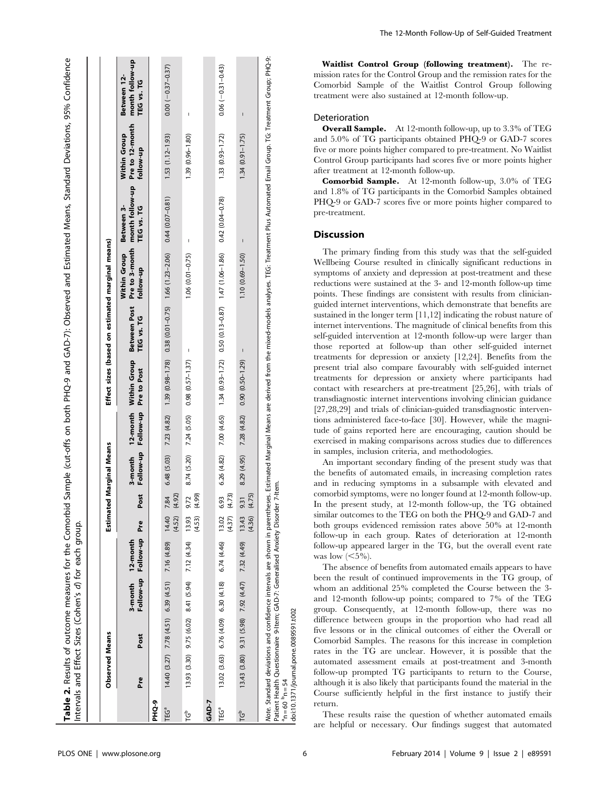|                                  | <b>Observed Means</b>                 |                                      |                                                                          |                                     |                 |                | Estimated Marginal Means |             |                                                                |                          | Effect sizes (based on estimated marginal means)               |                                                            |                                                     |                                                                                                                                                                                                                    |
|----------------------------------|---------------------------------------|--------------------------------------|--------------------------------------------------------------------------|-------------------------------------|-----------------|----------------|--------------------------|-------------|----------------------------------------------------------------|--------------------------|----------------------------------------------------------------|------------------------------------------------------------|-----------------------------------------------------|--------------------------------------------------------------------------------------------------------------------------------------------------------------------------------------------------------------------|
|                                  | Pre                                   | Post                                 | 3-month                                                                  | Follow-up Follow-up Pre<br>12-month |                 | ţ,<br>ە        | Follow-up                | Follow-up   | 3-month 12-month Within Group Between Post<br>Pre to Post      | TEG vs. TG               | <b>Within Group</b><br>follow-up                               | Pre to 3-month month follow-up<br>Between 3-<br>TEG vs. TG | Pre to 12-month<br><b>Within Group</b><br>qu-wollot | month follow-up<br>Between 12-<br>TEG vs. TG                                                                                                                                                                       |
| <b>PHQ-9</b>                     |                                       |                                      |                                                                          |                                     |                 |                |                          |             |                                                                |                          |                                                                |                                                            |                                                     |                                                                                                                                                                                                                    |
| TEGª                             |                                       |                                      | $14.40(3.27)$ $7.78(4.51)$ $6.39(4.51)$ $7.16(4.89)$                     |                                     | 14.40<br>(4.52) | (4.92)<br>7.84 | 6.48 (5.03)              |             | 7.23 (4.82) 1.39 (0.98-1.78) 0.38 (0.01-0.75) 1.66 (1.23-2.06) |                          |                                                                | $0.44(0.07 - 0.81)$                                        | 1.53 (1.12-1.93)                                    | $0.00 (-0.37 - 0.37)$                                                                                                                                                                                              |
| ပြီ                              |                                       |                                      | $13.93$ $(3.30)$ $9.75$ $(6.02)$ $8.41$ $(5.94)$ $7.12$ $(4.34)$         |                                     | 13.93<br>(4.53) | (4.99)<br>9.72 |                          |             | 8.74 (5.20) 7.24 (5.05) 0.98 (0.57-1.37)                       | $\overline{\phantom{a}}$ | $1.06(0.01 - 0.75)$                                            | I                                                          | $1.39(0.96 - 1.80)$                                 | I                                                                                                                                                                                                                  |
| GAD-7                            |                                       |                                      |                                                                          |                                     |                 |                |                          |             |                                                                |                          |                                                                |                                                            |                                                     |                                                                                                                                                                                                                    |
| ັງງາ                             |                                       | 13.02 (3.63) 6.76 (4.09) 6.30 (4.18) |                                                                          | 6.74 (4.46)                         | (4.37)<br>13.02 | (4.73)<br>6.93 | 6.26 (4.82)              |             |                                                                |                          | 7.00 (4.65) 1.34 (0.93-1.72) 0.50 (0.13-0.87) 1.47 (1.06-1.86) | 0.42 (0.04-0.78)                                           | $1.33(0.93 - 1.72)$                                 | $0.06 (-0.31 - 0.43)$                                                                                                                                                                                              |
| <sup>e</sup> p                   |                                       |                                      | $13.43$ $(3.80)$ $9.31$ $(5.98)$ $7.92$ $(4.47)$ $7.32$ $(4.49)$         |                                     | 13.43<br>(4.36) | (4.75)<br>9.31 | 8.29 (4.95)              | 7.28 (4.82) | $0.90(0.50 - 1.29)$                                            | $\overline{\phantom{a}}$ | $1.10(0.69 - 1.50)$                                            | $\mathsf{I}$                                               | $1.34(0.91 - 1.75)$                                 | $\mathsf{I}$                                                                                                                                                                                                       |
| $H = 60^{6}$ Pe = n <sup>e</sup> | doi:10.1371/journal.pone.0089591.t002 |                                      | Patient Health Questionnaire 9-Item; GAD-7: Generalised Anxiety Disorder |                                     |                 | 7-Item.        |                          |             |                                                                |                          |                                                                |                                                            |                                                     | Note. Standard deviations and confidence intervals are shown in parentheses. Estimated Marginal Means are derived from the mixed-models analyses. Teatment Plus Automated Email Group. TG: Treatment Group; PHQ-9: |

The 12-Month Follow-Up of Self-Guided Treatment

Waitlist Control Group (following treatment). The remission rates for the Control Group and the remission rates for the Comorbid Sample of the Waitlist Control Group following treatment were also sustained at 12-month follow-up.

# Deterioration

Overall Sample. At 12-month follow-up, up to 3.3% of TEG and 5.0% of TG participants obtained PHQ-9 or GAD-7 scores five or more points higher compared to pre-treatment. No Waitlist Control Group participants had scores five or more points higher after treatment at 12-month follow-up.

Comorbid Sample. At 12-month follow-up, 3.0% of TEG and 1.8% of TG participants in the Comorbid Samples obtained PHQ-9 or GAD-7 scores five or more points higher compared to pre-treatment.

# **Discussion**

The primary finding from this study was that the self-guided Wellbeing Course resulted in clinically significant reductions in symptoms of anxiety and depression at post-treatment and these reductions were sustained at the 3- and 12-month follow-up time points. These findings are consistent with results from clinicianguided internet interventions, which demonstrate that benefits are sustained in the longer term [11,12] indicating the robust nature of internet interventions. The magnitude of clinical benefits from this self-guided intervention at 12-month follow-up were larger than those reported at follow-up than other self-guided internet treatments for depression or anxiety [12,24]. Benefits from the present trial also compare favourably with self-guided internet treatments for depression or anxiety where participants had contact with researchers at pre-treatment [25,26], with trials of transdiagnostic internet interventions involving clinician guidance [27,28,29] and trials of clinician-guided transdiagnostic interventions administered face-to-face [30]. However, while the magnitude of gains reported here are encouraging, caution should be exercised in making comparisons across studies due to differences in samples, inclusion criteria, and methodologies.

An important secondary finding of the present study was that the benefits of automated emails, in increasing completion rates and in reducing symptoms in a subsample with elevated and comorbid symptoms, were no longer found at 12-month follow-up. In the present study, at 12-month follow-up, the TG obtained similar outcomes to the TEG on both the PHQ-9 and GAD-7 and both groups evidenced remission rates above 50% at 12-month follow-up in each group. Rates of deterioration at 12-month follow-up appeared larger in the TG, but the overall event rate was low  $(<5\%$ ).

The absence of benefits from automated emails appears to have been the result of continued improvements in the TG group, of whom an additional 25% completed the Course between the 3 and 12-month follow-up points; compared to 7% of the TEG group. Consequently, at 12-month follow-up, there was no difference between groups in the proportion who had read all five lessons or in the clinical outcomes of either the Overall or Comorbid Samples. The reasons for this increase in completion rates in the TG are unclear. However, it is possible that the automated assessment emails at post-treatment and 3-month follow-up prompted TG participants to return to the Course, although it is also likely that participants found the material in the Course sufficiently helpful in the first instance to justify their return.

These results raise the question of whether automated emails are helpful or necessary. Our findings suggest that automated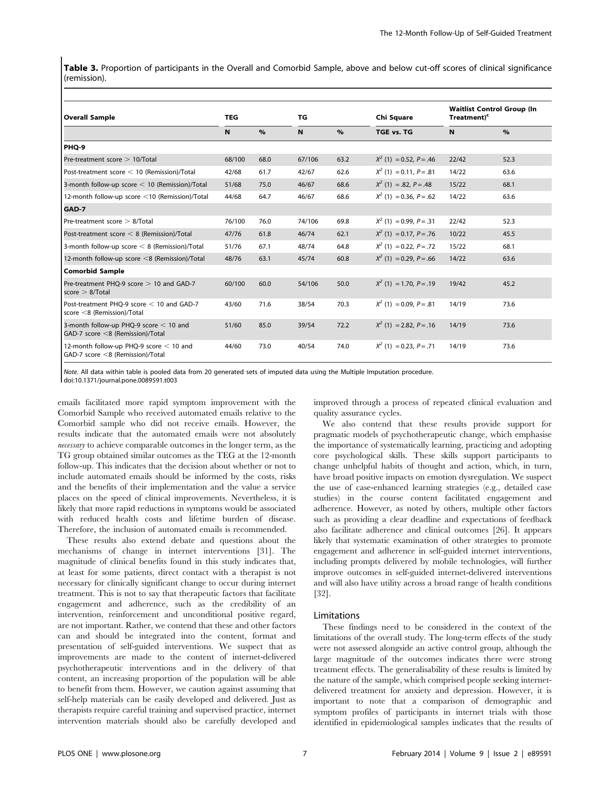Table 3. Proportion of participants in the Overall and Comorbid Sample, above and below cut-off scores of clinical significance (remission).

| Overall Sample                                                                  |        |      | TG     |      | Chi Square                  | Treatment) <sup>c</sup> | <b>Waitlist Control Group (In</b> |
|---------------------------------------------------------------------------------|--------|------|--------|------|-----------------------------|-------------------------|-----------------------------------|
|                                                                                 | N      | $\%$ | N      | $\%$ | <b>TGE vs. TG</b>           | N                       | $\%$                              |
| <b>PHO-9</b>                                                                    |        |      |        |      |                             |                         |                                   |
| Pre-treatment score > 10/Total                                                  | 68/100 | 68.0 | 67/106 | 63.2 | $X^2$ (1) = 0.52, P = .46   | 22/42                   | 52.3                              |
| Post-treatment score < 10 (Remission)/Total                                     | 42/68  | 61.7 | 42/67  | 62.6 | $X^2$ (1) = 0.11, P = .81   | 14/22                   | 63.6                              |
| 3-month follow-up score < 10 (Remission)/Total                                  | 51/68  | 75.0 | 46/67  | 68.6 | $X^2$ (1) = .82, P = .48    | 15/22                   | 68.1                              |
| 12-month follow-up score <10 (Remission)/Total                                  | 44/68  | 64.7 | 46/67  | 68.6 | $X^2$ (1) = 0.36, P = .62   | 14/22                   | 63.6                              |
| GAD-7                                                                           |        |      |        |      |                             |                         |                                   |
| Pre-treatment score > 8/Total                                                   | 76/100 | 76.0 | 74/106 | 69.8 | $X^2$ (1) = 0.99, P = .31   | 22/42                   | 52.3                              |
| Post-treatment score $<$ 8 (Remission)/Total                                    | 47/76  | 61.8 | 46/74  | 62.1 | $X^2$ (1) = 0.17, P = .76   | 10/22                   | 45.5                              |
| 3-month follow-up score $<$ 8 (Remission)/Total                                 | 51/76  | 67.1 | 48/74  | 64.8 | $X^2$ (1) = 0.22, P = .72   | 15/22                   | 68.1                              |
| 12-month follow-up score <8 (Remission)/Total                                   | 48/76  | 63.1 | 45/74  | 60.8 | $X^2$ (1) = 0.29, P = .66   | 14/22                   | 63.6                              |
| Comorbid Sample                                                                 |        |      |        |      |                             |                         |                                   |
| Pre-treatment PHO-9 score > 10 and GAD-7<br>score $> 8$ /Total                  | 60/100 | 60.0 | 54/106 | 50.0 | $X^2$ (1) = 1.70, $P = .19$ | 19/42                   | 45.2                              |
| Post-treatment PHO-9 score < 10 and GAD-7<br>score <8 (Remission)/Total         | 43/60  | 71.6 | 38/54  | 70.3 | $X^2$ (1) = 0.09, P = .81   | 14/19                   | 73.6                              |
| 3-month follow-up PHO-9 score $<$ 10 and<br>GAD-7 score $<$ 8 (Remission)/Total | 51/60  | 85.0 | 39/54  | 72.2 | $X^2$ (1) = 2.82, P = .16   | 14/19                   | 73.6                              |
| 12-month follow-up PHQ-9 score $<$ 10 and<br>GAD-7 score <8 (Remission)/Total   | 44/60  | 73.0 | 40/54  | 74.0 | $X^2$ (1) = 0.23, P = .71   | 14/19                   | 73.6                              |

Note. All data within table is pooled data from 20 generated sets of imputed data using the Multiple Imputation procedure.

doi:10.1371/journal.pone.0089591.t003

emails facilitated more rapid symptom improvement with the Comorbid Sample who received automated emails relative to the Comorbid sample who did not receive emails. However, the results indicate that the automated emails were not absolutely necessary to achieve comparable outcomes in the longer term, as the TG group obtained similar outcomes as the TEG at the 12-month follow-up. This indicates that the decision about whether or not to include automated emails should be informed by the costs, risks and the benefits of their implementation and the value a service places on the speed of clinical improvements. Nevertheless, it is likely that more rapid reductions in symptoms would be associated with reduced health costs and lifetime burden of disease. Therefore, the inclusion of automated emails is recommended.

These results also extend debate and questions about the mechanisms of change in internet interventions [31]. The magnitude of clinical benefits found in this study indicates that, at least for some patients, direct contact with a therapist is not necessary for clinically significant change to occur during internet treatment. This is not to say that therapeutic factors that facilitate engagement and adherence, such as the credibility of an intervention, reinforcement and unconditional positive regard, are not important. Rather, we contend that these and other factors can and should be integrated into the content, format and presentation of self-guided interventions. We suspect that as improvements are made to the content of internet-delivered psychotherapeutic interventions and in the delivery of that content, an increasing proportion of the population will be able to benefit from them. However, we caution against assuming that self-help materials can be easily developed and delivered. Just as therapists require careful training and supervised practice, internet intervention materials should also be carefully developed and improved through a process of repeated clinical evaluation and quality assurance cycles.

We also contend that these results provide support for pragmatic models of psychotherapeutic change, which emphasise the importance of systematically learning, practicing and adopting core psychological skills. These skills support participants to change unhelpful habits of thought and action, which, in turn, have broad positive impacts on emotion dysregulation. We suspect the use of case-enhanced learning strategies (e.g., detailed case studies) in the course content facilitated engagement and adherence. However, as noted by others, multiple other factors such as providing a clear deadline and expectations of feedback also facilitate adherence and clinical outcomes [26]. It appears likely that systematic examination of other strategies to promote engagement and adherence in self-guided internet interventions, including prompts delivered by mobile technologies, will further improve outcomes in self-guided internet-delivered interventions and will also have utility across a broad range of health conditions [32].

# Limitations

These findings need to be considered in the context of the limitations of the overall study. The long-term effects of the study were not assessed alongside an active control group, although the large magnitude of the outcomes indicates there were strong treatment effects. The generalisability of these results is limited by the nature of the sample, which comprised people seeking internetdelivered treatment for anxiety and depression. However, it is important to note that a comparison of demographic and symptom profiles of participants in internet trials with those identified in epidemiological samples indicates that the results of